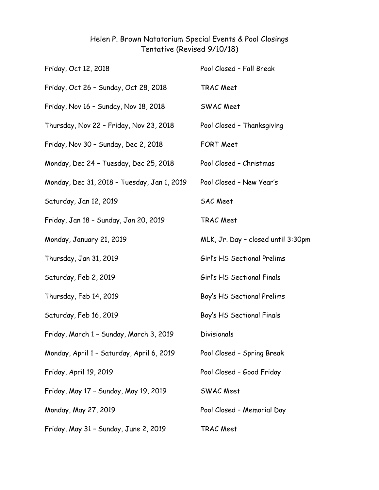## Helen P. Brown Natatorium Special Events & Pool Closings Tentative (Revised 9/10/18)

| Friday, Oct 12, 2018                        | Pool Closed - Fall Break           |
|---------------------------------------------|------------------------------------|
| Friday, Oct 26 - Sunday, Oct 28, 2018       | TRAC Meet                          |
| Friday, Nov 16 - Sunday, Nov 18, 2018       | SWAC Meet                          |
| Thursday, Nov 22 - Friday, Nov 23, 2018     | Pool Closed - Thanksgiving         |
| Friday, Nov 30 - Sunday, Dec 2, 2018        | <b>FORT Meet</b>                   |
| Monday, Dec 24 - Tuesday, Dec 25, 2018      | Pool Closed - Christmas            |
| Monday, Dec 31, 2018 - Tuesday, Jan 1, 2019 | Pool Closed - New Year's           |
| Saturday, Jan 12, 2019                      | <b>SAC Meet</b>                    |
| Friday, Jan 18 - Sunday, Jan 20, 2019       | TRAC Meet                          |
| Monday, January 21, 2019                    | MLK, Jr. Day - closed until 3:30pm |
| Thursday, Jan 31, 2019                      | Girl's HS Sectional Prelims        |
| Saturday, Feb 2, 2019                       | Girl's HS Sectional Finals         |
| Thursday, Feb 14, 2019                      | Boy's HS Sectional Prelims         |
| Saturday, Feb 16, 2019                      | Boy's HS Sectional Finals          |
| Friday, March 1 - Sunday, March 3, 2019     | <b>Divisionals</b>                 |
| Monday, April 1 - Saturday, April 6, 2019   | Pool Closed - Spring Break         |
| Friday, April 19, 2019                      | Pool Closed - Good Friday          |
| Friday, May 17 - Sunday, May 19, 2019       | <b>SWAC Meet</b>                   |
| Monday, May 27, 2019                        | Pool Closed - Memorial Day         |
| Friday, May 31 - Sunday, June 2, 2019       | <b>TRAC Meet</b>                   |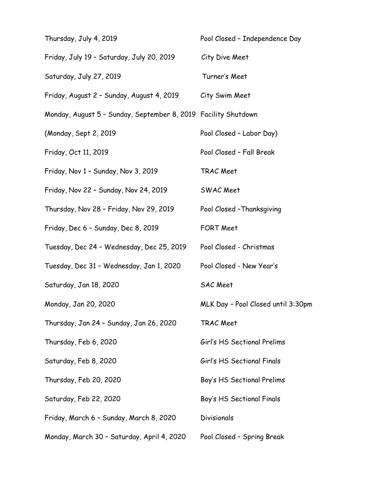| Thursday, July 4, 2019                                         | Pool Closed - Independence Day     |
|----------------------------------------------------------------|------------------------------------|
| Friday, July 19 - Saturday, July 20, 2019                      | City Dive Meet                     |
| Saturday, July 27, 2019                                        | Turner's Meet                      |
| Friday, August 2 - Sunday, August 4, 2019                      | City Swim Meet                     |
| Monday, August 5 - Sunday, September 8, 2019 Facility Shutdown |                                    |
| (Monday, Sept 2, 2019)                                         | Pool Closed - Labor Day)           |
| Friday, Oct 11, 2019                                           | Pool Closed - Fall Break           |
| Friday, Nov 1 - Sunday, Nov 3, 2019                            | TRAC Meet                          |
| Friday, Nov 22 - Sunday, Nov 24, 2019                          | SWAC Meet                          |
| Thursday, Nov 28 - Friday, Nov 29, 2019                        | Pool Closed - Thanksgiving         |
| Friday, Dec 6 - Sunday, Dec 8, 2019                            | FORT Meet                          |
| Tuesday, Dec 24 - Wednesday, Dec 25, 2019                      | Pool Closed - Christmas            |
| Tuesday, Dec 31 - Wednesday, Jan 1, 2020                       | Pool Closed - New Year's           |
| Saturday, Jan 18, 2020                                         | <b>SAC Meet</b>                    |
| Monday, Jan 20, 2020                                           | MLK Day - Pool Closed until 3:30pm |
| Thursday, Jan 24 - Sunday, Jan 26, 2020                        | TRAC Meet                          |
| Thursday, Feb 6, 2020                                          | Girl's HS Sectional Prelims        |
| Saturday, Feb 8, 2020                                          | Girl's HS Sectional Finals         |
| Thursday, Feb 20, 2020                                         | Boy's HS Sectional Prelims         |
| Saturday, Feb 22, 2020                                         | Boy's HS Sectional Finals          |
| Friday, March 6 - Sunday, March 8, 2020                        | <b>Divisionals</b>                 |
| Monday, March 30 - Saturday, April 4, 2020                     | Pool Closed - Spring Break         |